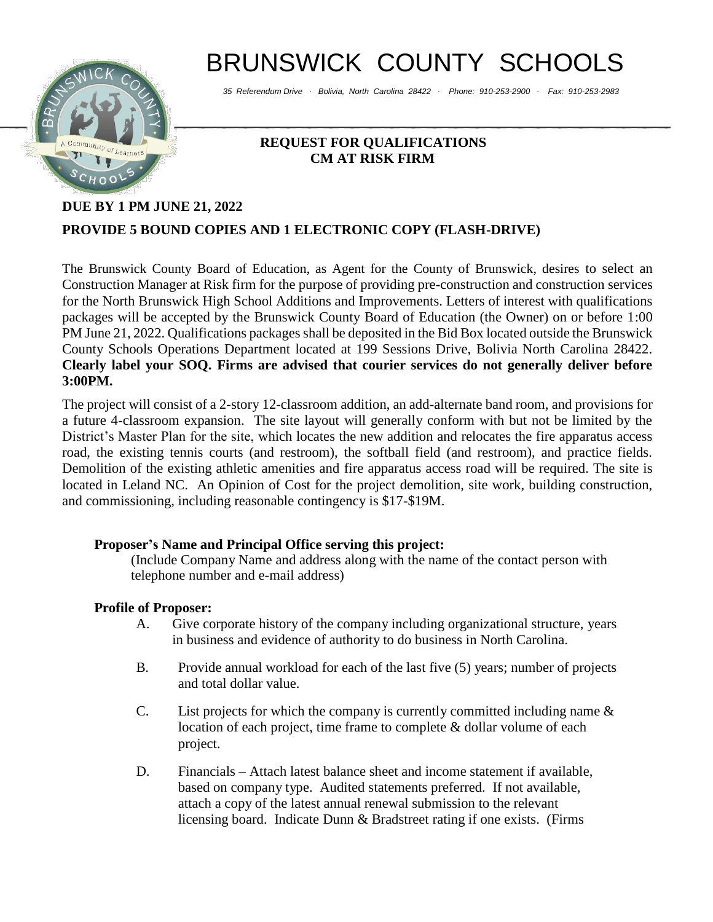# BRUNSWICK COUNTY SCHOOLS

*35 Referendum Drive ∙ Bolivia, North Carolina 28422 ∙ Phone: 910-253-2900 ∙ Fax: 910-253-2983*



## **REQUEST FOR QUALIFICATIONS CM AT RISK FIRM**

## **DUE BY 1 PM JUNE 21, 2022 PROVIDE 5 BOUND COPIES AND 1 ELECTRONIC COPY (FLASH-DRIVE)**

The Brunswick County Board of Education, as Agent for the County of Brunswick, desires to select an Construction Manager at Risk firm for the purpose of providing pre-construction and construction services for the North Brunswick High School Additions and Improvements. Letters of interest with qualifications packages will be accepted by the Brunswick County Board of Education (the Owner) on or before 1:00 PM June 21, 2022. Qualifications packages shall be deposited in the Bid Box located outside the Brunswick County Schools Operations Department located at 199 Sessions Drive, Bolivia North Carolina 28422. **Clearly label your SOQ. Firms are advised that courier services do not generally deliver before 3:00PM.**

The project will consist of a 2-story 12-classroom addition, an add-alternate band room, and provisions for a future 4-classroom expansion. The site layout will generally conform with but not be limited by the District's Master Plan for the site, which locates the new addition and relocates the fire apparatus access road, the existing tennis courts (and restroom), the softball field (and restroom), and practice fields. Demolition of the existing athletic amenities and fire apparatus access road will be required. The site is located in Leland NC. An Opinion of Cost for the project demolition, site work, building construction, and commissioning, including reasonable contingency is \$17-\$19M.

## **Proposer's Name and Principal Office serving this project:**

(Include Company Name and address along with the name of the contact person with telephone number and e-mail address)

## **Profile of Proposer:**

- A. Give corporate history of the company including organizational structure, years in business and evidence of authority to do business in North Carolina.
- B. Provide annual workload for each of the last five (5) years; number of projects and total dollar value.
- C. List projects for which the company is currently committed including name  $\&$ location of each project, time frame to complete & dollar volume of each project.
- D. Financials Attach latest balance sheet and income statement if available, based on company type. Audited statements preferred. If not available, attach a copy of the latest annual renewal submission to the relevant licensing board. Indicate Dunn & Bradstreet rating if one exists. (Firms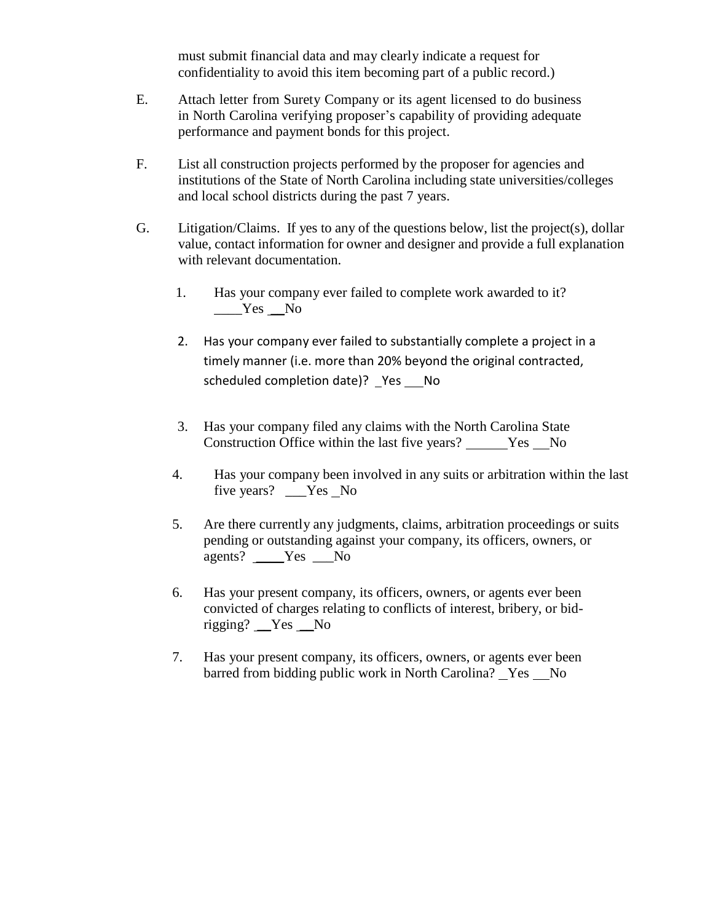must submit financial data and may clearly indicate a request for confidentiality to avoid this item becoming part of a public record.)

- E. Attach letter from Surety Company or its agent licensed to do business in North Carolina verifying proposer's capability of providing adequate performance and payment bonds for this project.
- F. List all construction projects performed by the proposer for agencies and institutions of the State of North Carolina including state universities/colleges and local school districts during the past 7 years.
- G. Litigation/Claims. If yes to any of the questions below, list the project(s), dollar value, contact information for owner and designer and provide a full explanation with relevant documentation.
	- 1. Has your company ever failed to complete work awarded to it?  $Yes$  No
	- 2. Has your company ever failed to substantially complete a project in a timely manner (i.e. more than 20% beyond the original contracted, scheduled completion date)? \_Yes \_\_ No
	- 3. Has your company filed any claims with the North Carolina State Construction Office within the last five years? \_\_\_\_\_\_Yes \_\_No
	- 4. Has your company been involved in any suits or arbitration within the last five years? \_\_\_Yes No
	- 5. Are there currently any judgments, claims, arbitration proceedings or suits pending or outstanding against your company, its officers, owners, or agents? \_\_\_\_Yes \_\_\_No
	- 6. Has your present company, its officers, owners, or agents ever been convicted of charges relating to conflicts of interest, bribery, or bidrigging? \_\_Yes \_\_No
	- 7. Has your present company, its officers, owners, or agents ever been barred from bidding public work in North Carolina? Yes No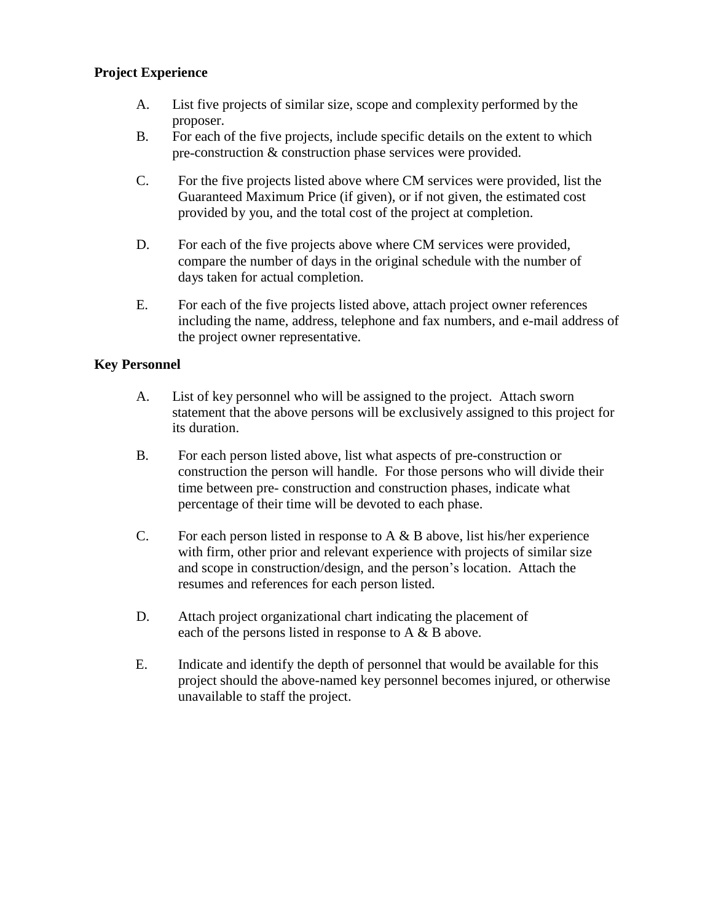#### **Project Experience**

- A. List five projects of similar size, scope and complexity performed by the proposer.
- B. For each of the five projects, include specific details on the extent to which pre-construction & construction phase services were provided.
- C. For the five projects listed above where CM services were provided, list the Guaranteed Maximum Price (if given), or if not given, the estimated cost provided by you, and the total cost of the project at completion.
- D. For each of the five projects above where CM services were provided, compare the number of days in the original schedule with the number of days taken for actual completion.
- E. For each of the five projects listed above, attach project owner references including the name, address, telephone and fax numbers, and e-mail address of the project owner representative.

#### **Key Personnel**

- A. List of key personnel who will be assigned to the project. Attach sworn statement that the above persons will be exclusively assigned to this project for its duration.
- B. For each person listed above, list what aspects of pre-construction or construction the person will handle. For those persons who will divide their time between pre- construction and construction phases, indicate what percentage of their time will be devoted to each phase.
- C. For each person listed in response to  $A \& B$  above, list his/her experience with firm, other prior and relevant experience with projects of similar size and scope in construction/design, and the person's location. Attach the resumes and references for each person listed.
- D. Attach project organizational chart indicating the placement of each of the persons listed in response to A & B above.
- E. Indicate and identify the depth of personnel that would be available for this project should the above-named key personnel becomes injured, or otherwise unavailable to staff the project.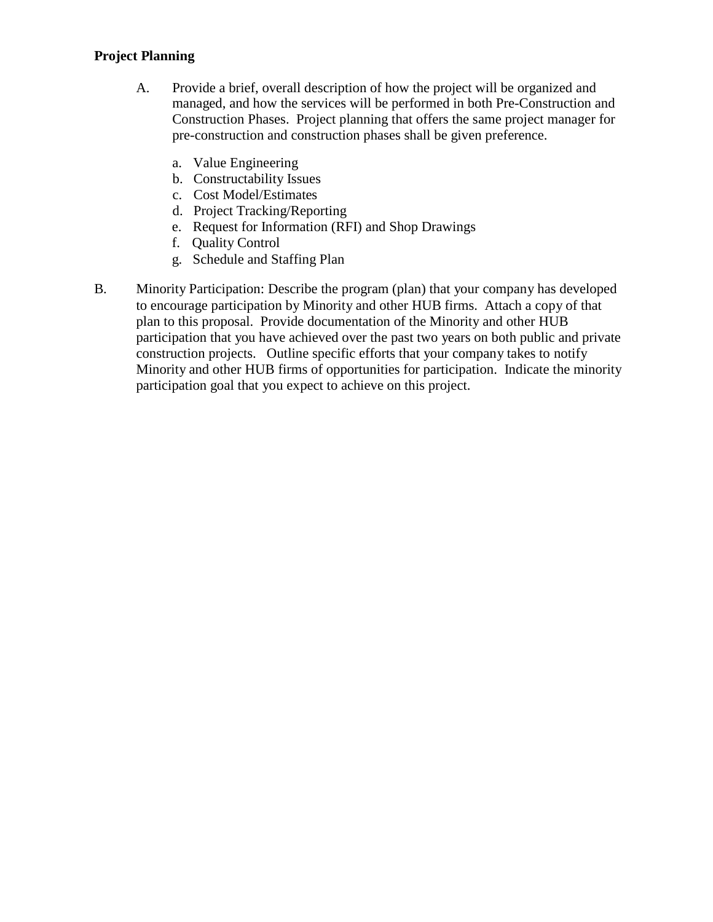#### **Project Planning**

- A. Provide a brief, overall description of how the project will be organized and managed, and how the services will be performed in both Pre-Construction and Construction Phases. Project planning that offers the same project manager for pre-construction and construction phases shall be given preference.
	- a. Value Engineering
	- b. Constructability Issues
	- c. Cost Model/Estimates
	- d. Project Tracking/Reporting
	- e. Request for Information (RFI) and Shop Drawings
	- f. Quality Control
	- g. Schedule and Staffing Plan
- B. Minority Participation: Describe the program (plan) that your company has developed to encourage participation by Minority and other HUB firms. Attach a copy of that plan to this proposal. Provide documentation of the Minority and other HUB participation that you have achieved over the past two years on both public and private construction projects. Outline specific efforts that your company takes to notify Minority and other HUB firms of opportunities for participation. Indicate the minority participation goal that you expect to achieve on this project.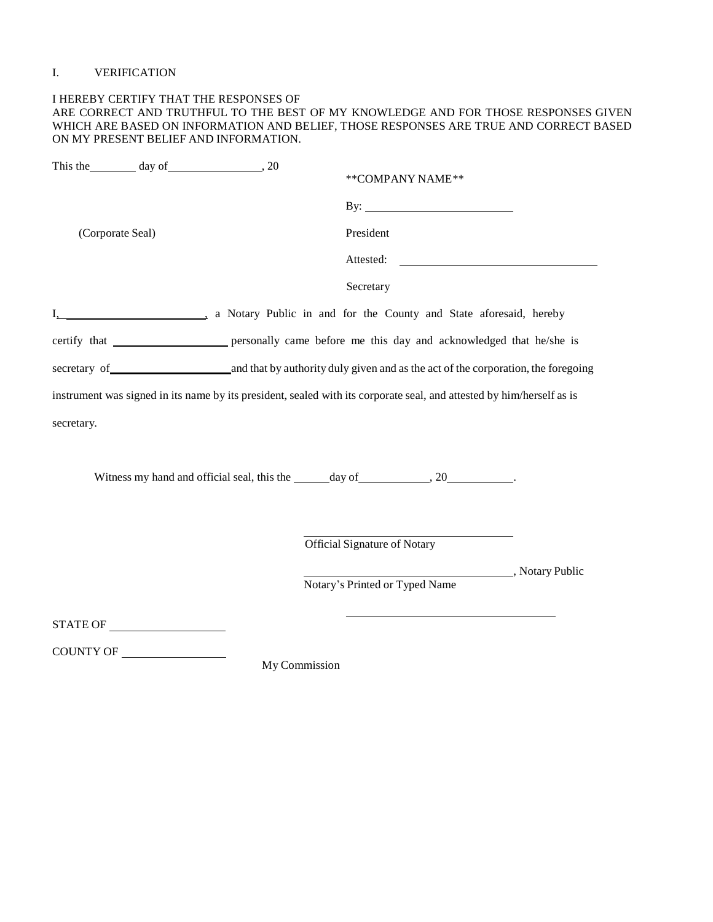#### I. VERIFICATION

#### I HEREBY CERTIFY THAT THE RESPONSES OF ARE CORRECT AND TRUTHFUL TO THE BEST OF MY KNOWLEDGE AND FOR THOSE RESPONSES GIVEN WHICH ARE BASED ON INFORMATION AND BELIEF, THOSE RESPONSES ARE TRUE AND CORRECT BASED ON MY PRESENT BELIEF AND INFORMATION.

| This the day of 30                                                                                                    | **COMPANY NAME**                                                                 |  |
|-----------------------------------------------------------------------------------------------------------------------|----------------------------------------------------------------------------------|--|
|                                                                                                                       | By: $\qquad \qquad$                                                              |  |
| (Corporate Seal)                                                                                                      | President                                                                        |  |
|                                                                                                                       | Attested: <u>New York: Attested:</u>                                             |  |
|                                                                                                                       | Secretary                                                                        |  |
| I. Motary Public in and for the County and State aforesaid, hereby                                                    |                                                                                  |  |
| certify that ____________________ personally came before me this day and acknowledged that he/she is                  |                                                                                  |  |
| secretary of and that by authority duly given and as the act of the corporation, the foregoing                        |                                                                                  |  |
| instrument was signed in its name by its president, sealed with its corporate seal, and attested by him/herself as is |                                                                                  |  |
| secretary.                                                                                                            |                                                                                  |  |
|                                                                                                                       |                                                                                  |  |
|                                                                                                                       | Witness my hand and official seal, this the ______ day of _____________________. |  |
|                                                                                                                       |                                                                                  |  |
|                                                                                                                       | Official Signature of Notary                                                     |  |
|                                                                                                                       | Notary Public                                                                    |  |
|                                                                                                                       | Notary's Printed or Typed Name                                                   |  |
|                                                                                                                       |                                                                                  |  |

COUNTY OF

My Commission